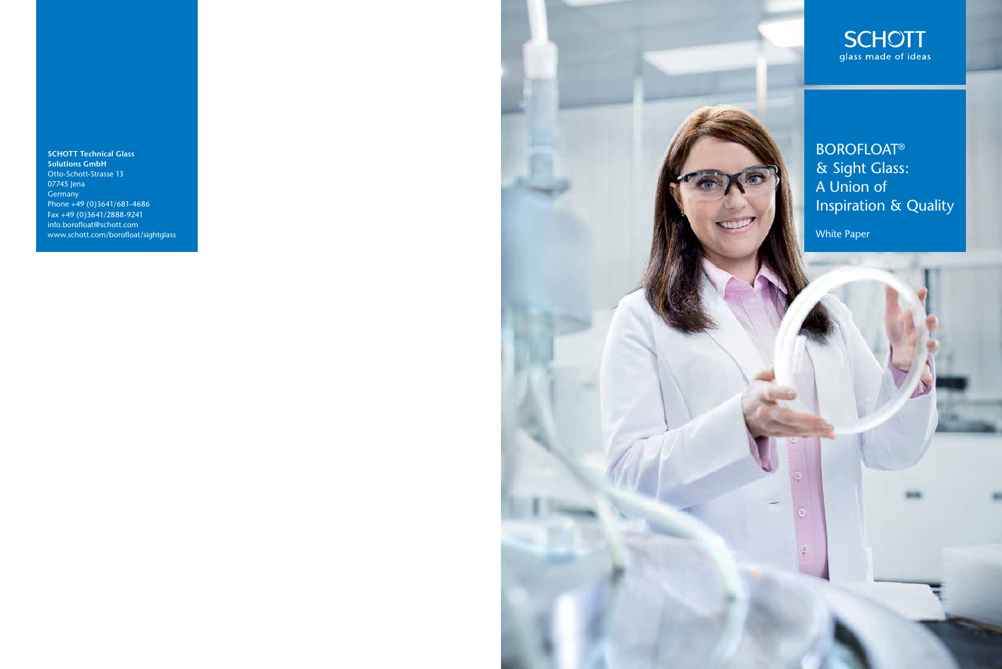**BOROFLOAT®** & Sight Glass: A Union of Inspiration & Quality

White Paper

**SCHOTT Technical Glass Solutions GmbH** Otto-Schott-Strasse 13 07745 Jena Germany Phone +49 (0)3641/681-4686 Fax +49 (0)3641/2888-9241 info.borofloat@schott.com www.schott.com/borofloat/sightglass



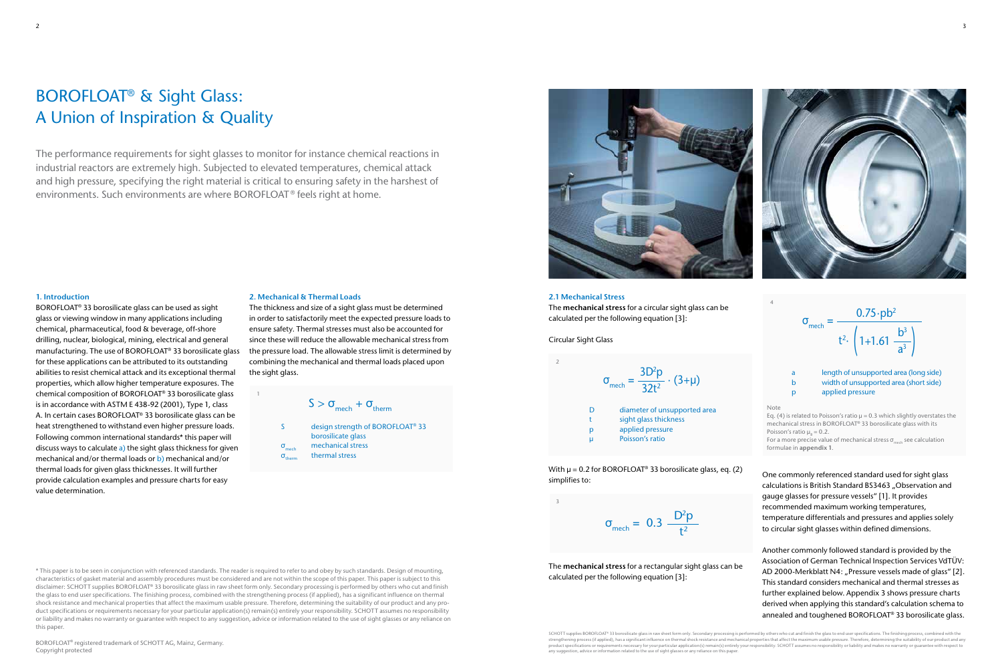#### **1. Introduction**

BOROFLOAT® 33 borosilicate glass can be used as sight glass or viewing window in many applications including chemical, pharmaceutical, food & beverage, off-shore drilling, nuclear, biological, mining, electrical and general manufacturing. The use of BOROFLOAT® 33 borosilicate glass for these applications can be attributed to its outstanding abilities to resist chemical attack and its exceptional thermal properties, which allow higher temperature exposures. The chemical composition of BOROFLOAT® 33 borosilicate glass is in accordance with ASTM E 438-92 (2001), Type 1, class A. In certain cases BOROFLOAT® 33 borosilicate glass can be heat strengthened to withstand even higher pressure loads. Following common international standards\* this paper will discuss ways to calculate a) the sight glass thickness for given mechanical and/or thermal loads or b) mechanical and/or thermal loads for given glass thicknesses. It will further provide calculation examples and pressure charts for easy value determination.

#### **2. Mechanical & Thermal Loads**

With  $\mu$  = 0.2 for BOROFLOAT<sup>®</sup> 33 borosilicate glass, eq. (2) simplifies to:

> $\sigma$ <sub>mech</sub> =  $D^2p$  $\frac{6}{t^2}$

The thickness and size of a sight glass must be determined in order to satisfactorily meet the expected pressure loads to ensure safety. Thermal stresses must also be accounted for since these will reduce the allowable mechanical stress from the pressure load. The allowable stress limit is determined by combining the mechanical and thermal loads placed upon the sight glass.

> For a more precise value of mechanical stress  $\sigma_{\text{max}}$  see calculation formulae in **appendix 1**.

# BOROFLOAT® & Sight Glass: A Union of Inspiration & Quality

The performance requirements for sight glasses to monitor for instance chemical reactions in industrial reactors are extremely high. Subjected to elevated temperatures, chemical attack and high pressure, specifying the right material is critical to ensuring safety in the harshest of environments. Such environments are where BOROFLOAT ® feels right at home.

> length of unsupported area (long side) b width of unsupported area (short side) p applied pressure

 $\sigma$ <sub>mech</sub> =  $0.75 \cdot pb^2$  $\mathsf{t}^2$  | 1+1.61  $b^3$  $a<sup>3</sup>$ (



S design strength of BOROFLOAT<sup>®</sup> 33  
\nborosilicate glass  
\n
$$
\sigma_{\text{mech}}
$$
 mechanical stress  
\n $\sigma_{\text{therm}}$  thermal stress

 $S > \sigma_{\text{mech}} + \sigma_{\text{therm}}$ 



#### **2.1 Mechanical Stress**

The **mechanical stress** for a circular sight glass can be calculated per the following equation [3]:

Circular Sight Glass

The **mechanical stress** for a rectangular sight glass can be calculated per the following equation [3]:

Note

One commonly referenced standard used for sight glass calculations is British Standard BS3463 . Observation and gauge glasses for pressure vessels" [1]. It provides recommended maximum working temperatures, temperature differentials and pressures and applies solely to circular sight glasses within defined dimensions.

SCHOTT supplies BOROFLOAT® 33 borosilicate glass in raw sheet form only. Secondary processing is performed by others who cut and finish the glass to end user specifications. The finishing process, combined with the any suggestion, advice or information related to the use of sight glasses or any reliance on this paper.



Another commonly followed standard is provided by the Association of German Technical Inspection Services VdTÜV: AD 2000-Merkblatt N4: "Pressure vessels made of glass" [2]. This standard considers mechanical and thermal stresses as further explained below. Appendix 3 shows pressure charts derived when applying this standard's calculation schema to annealed and toughened BOROFLOAT® 33 borosilicate glass.



1

3

4

Eq. (4) is related to Poisson's ratio  $\mu$  = 0.3 which slightly overstates the mechanical stress in BOROFLOAT® 33 borosilicate glass with its Poisson's ratio  $\mu$ <sub>p</sub> = 0.2.

\* This paper is to be seen in conjunction with referenced standards. The reader is required to refer to and obey by such standards. Design of mounting, characteristics of gasket material and assembly procedures must be considered and are not within the scope of this paper. This paper is subject to this disclaimer: SCHOTT supplies BOROFLOAT® 33 borosilicate glass in raw sheet form only. Secondary processing is performed by others who cut and finish the glass to end user specifications. The finishing process, combined with the strengthening process (if applied), has a significant influence on thermal shock resistance and mechanical properties that affect the maximum usable pressure. Therefore, determining the suitability of our product and any product specifications or requirements necessary for your particular application(s) remain(s) entirely your responsibility. SCHOTT assumes no responsibility or liability and makes no warranty or guarantee with respect to any suggestion, advice or information related to the use of sight glasses or any reliance on this paper.

BOROFLOAT® registered trademark of SCHOTT AG, Mainz, Germany. Copyright protected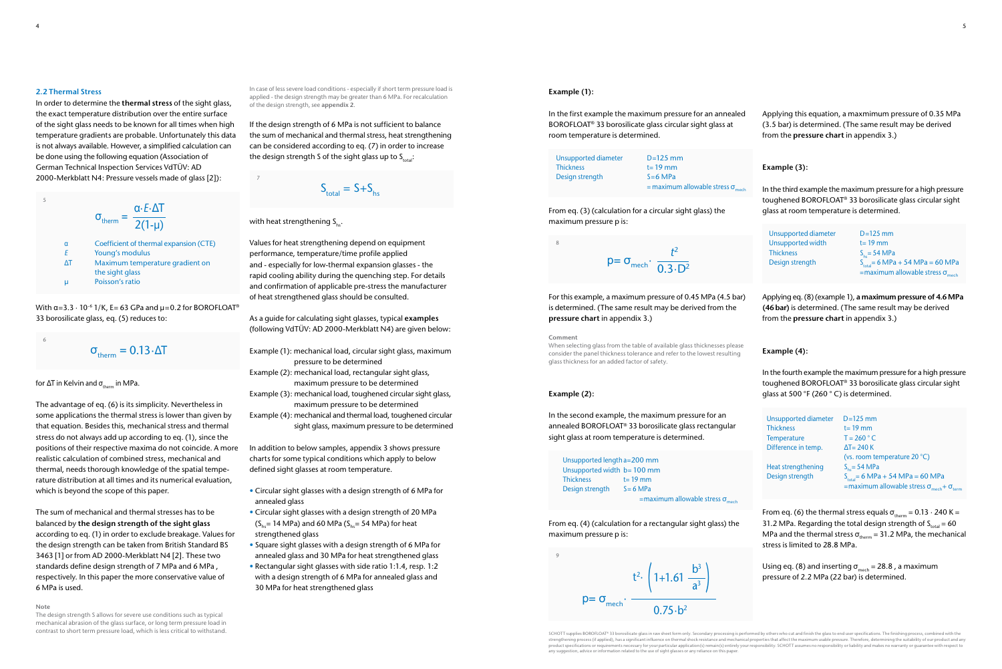## **Example (1):**

In the first example the maximum pressure for an annealed BOROFLOAT® 33 borosilicate glass circular sight glass at room temperature is determined.

From eq. (3) (calculation for a circular sight glass) the maximum pressure p is:

 $p = \sigma_{\text{mech}} \cdot \frac{t^2}{0.3 \cdot D^2}$ 

For this example, a maximum pressure of 0.45 MPa (4.5 bar) is determined. (The same result may be derived from the **pressure chart** in appendix 3.)

#### **Comment**

When selecting glass from the table of available glass thicknesses please consider the panel thickness tolerance and refer to the lowest resulting glass thickness for an added factor of safety.

#### **Example (2):**

In the second example, the maximum pressure for an annealed BOROFLOAT® 33 borosilicate glass rectangular sight glass at room temperature is determined.

From eq. (4) (calculation for a rectangular sight glass) the maximum pressure p is:

From eq. (6) the thermal stress equals  $\sigma_{\text{thorm}} = 0.13 \cdot 240 \text{ K} =$ 31.2 MPa. Regarding the total design strength of  $S_{total} = 60$ MPa and the thermal stress  $\sigma_{therm}$  = 31.2 MPa, the mechanical stress is limited to 28.8 MPa.

Using eq. (8) and inserting  $\sigma_{\text{mech}} = 28.8$ , a maximum pressure of 2.2 MPa (22 bar) is determined.

Applying this equation, a maxmimum pressure of 0.35 MPa (3.5 bar) is determined. (The same result may be derived from the **pressure chart** in appendix 3.)

# **Example (3):**

In the third example the maximum pressure for a high pressure toughened BOROFLOAT® 33 borosilicate glass circular sight glass at room temperature is determined.

With  $\alpha$ =3.3  $\cdot$  10<sup>-6</sup> 1/K, E= 63 GPa and  $\mu$ =0.2 for BOROFLOAT<sup>®</sup> 33 borosilicate glass, eq. (5) reduces to:

Applying eq. (8) (example 1), **a maximum pressure of 4.6 MPa (46 bar)** is determined. (The same result may be derived from the **pressure chart** in appendix 3.)

## **Example (4):**

In the fourth example the maximum pressure for a high pressure toughened BOROFLOAT® 33 borosilicate glass circular sight glass at 500 °F (260 ° C) is determined.

#### **2.2 Thermal Stress**

If the design strength of 6 MPa is not sufficient to balance the sum of mechanical and thermal stress, heat strengthening can be considered according to eq. (7) in order to increase the design strength S of the sight glass up to  $S_{total}$ :

 $S_{total} = S + S_{hot}$ 

## with heat strengthening  $S_{\text{h}}$ .

In order to determine the **thermal stress** of the sight glass, the exact temperature distribution over the entire surface of the sight glass needs to be known for all times when high temperature gradients are probable. Unfortunately this data is not always available. However, a simplified calculation can be done using the following equation (Association of German Technical Inspection Services VdTÜV: AD 2000-Merkblatt N4: Pressure vessels made of glass [2]):

The advantage of eq. (6) is its simplicity. Nevertheless in some applications the thermal stress is lower than given by that equation. Besides this, mechanical stress and thermal stress do not always add up according to eq. (1), since the positions of their respective maxima do not coincide. A more realistic calculation of combined stress, mechanical and thermal, needs thorough knowledge of the spatial temperature distribution at all times and its numerical evaluation, which is beyond the scope of this paper.

Unsupported length a=200 mm Unsupported width b= 100 mm Thickness t= 19 mm Design strength S = 6 MPa

 $=$ maximum allowable stress  $\sigma_{\text{mech}}$ 

The sum of mechanical and thermal stresses has to be balanced by **the design strength of the sight glass** according to eq. (1) in order to exclude breakage. Values for the design strength can be taken from British Standard BS 3463 [1] or from AD 2000-Merkblatt N4 [2]. These two standards define design strength of 7 MPa and 6 MPa , respectively. In this paper the more conservative value of 6 MPa is used.

**Note**

The design strength S allows for severe use conditions such as typical mechanical abrasion of the glass surface, or long term pressure load in contrast to short term pressure load, which is less critical to withstand.

product specifications or requirements necessary for your particular application(s) remain(s) entirely your responsibility. SCHOTT assumes no responsibility or liability and makes no warranty or guarantee with respect to any suggestion, advice or information related to the use of sight glasses or any reliance on this paper.

In case of less severe load conditions - especially if short term pressure load is applied - the design strength may be greater than 6 MPa. For recalculation of the design strength, see **appendix 2**.

Values for heat strengthening depend on equipment performance, temperature/time profile applied and - especially for low-thermal expansion glasses - the rapid cooling ability during the quenching step. For details and confirmation of applicable pre-stress the manufacturer of heat strengthened glass should be consulted.

As a guide for calculating sight glasses, typical **examples** (following VdTÜV: AD 2000-Merkblatt N4) are given below:

Example (1): mechanical load, circular sight glass, maximum pressure to be determined Example (2): mechanical load, rectangular sight glass, maximum pressure to be determined Example (3): mechanical load, toughened circular sight glass, maximum pressure to be determined Example (4): mechanical and thermal load, toughened circular sight glass, maximum pressure to be determined

In addition to below samples, appendix 3 shows pressure charts for some typical conditions which apply to below defined sight glasses at room temperature.

- Circular sight glasses with a design strength of 6 MPa for annealed glass
- Circular sight glasses with a design strength of 20 MPa  $(S<sub>b</sub>= 14 MPa)$  and 60 MPa  $(S<sub>b</sub>= 54 MPa)$  for heat strengthened glass
- Square sight glasses with a design strength of 6 MPa for annealed glass and 30 MPa for heat strengthened glass
- Rectangular sight glasses with side ratio 1:1.4, resp. 1:2 with a design strength of 6 MPa for annealed glass and 30 MPa for heat strengthened glass

$$
\sigma_{\text{therm}} = \frac{\alpha \cdot E \cdot \Delta T}{2(1-\mu)}
$$
\n
$$
\alpha \qquad \text{Coefficient of thermal expansion (CTE)}
$$
\n
$$
\Delta T \qquad \text{Maximum temperature gradient on the sight glass}
$$
\n
$$
\mu \qquad \text{Poisson's ratio}
$$

$$
\sigma_{\text{therm}} = 0.13 \cdot \Delta T
$$

for  $\Delta T$  in Kelvin and  $\sigma_{\text{therm}}$  in MPa.

| Unsupported diameter | $D=125$ mm                                        |
|----------------------|---------------------------------------------------|
| <b>Thickness</b>     | $t = 19$ mm                                       |
| Design strength      | $S=6$ MPa                                         |
|                      | = maximum allowable stress $\sigma_{\text{mech}}$ |

| Unsupported diameter | $D=125$ mm                                                                                |
|----------------------|-------------------------------------------------------------------------------------------|
| Unsupported width    | $t = 19$ mm                                                                               |
| <b>Thickness</b>     | $S_{\text{hs}} = 54 \text{ MPa}$                                                          |
| Design strength      | $S_{total} = 6 MPa + 54 MPa = 60 MPa$<br>=maximum allowable stress $\sigma_{\text{mech}}$ |

| Unsupported diameter<br><b>Thickness</b> | $D=125$ mm<br>$t = 19$ mm                                                                                          |
|------------------------------------------|--------------------------------------------------------------------------------------------------------------------|
| <b>Temperature</b>                       | $T = 260 °C$                                                                                                       |
| Difference in temp.                      | $\Delta T = 240 K$                                                                                                 |
|                                          | (vs. room temperature 20 °C)                                                                                       |
| <b>Heat strengthening</b>                | $S_{he} = 54 MPa$                                                                                                  |
| Design strength                          | $S_{total} = 6 MPa + 54 MPa = 60 MPa$<br>=maximum allowable stress $\sigma_{\text{mech}}$ + $\sigma_{\text{term}}$ |



5

6

7

8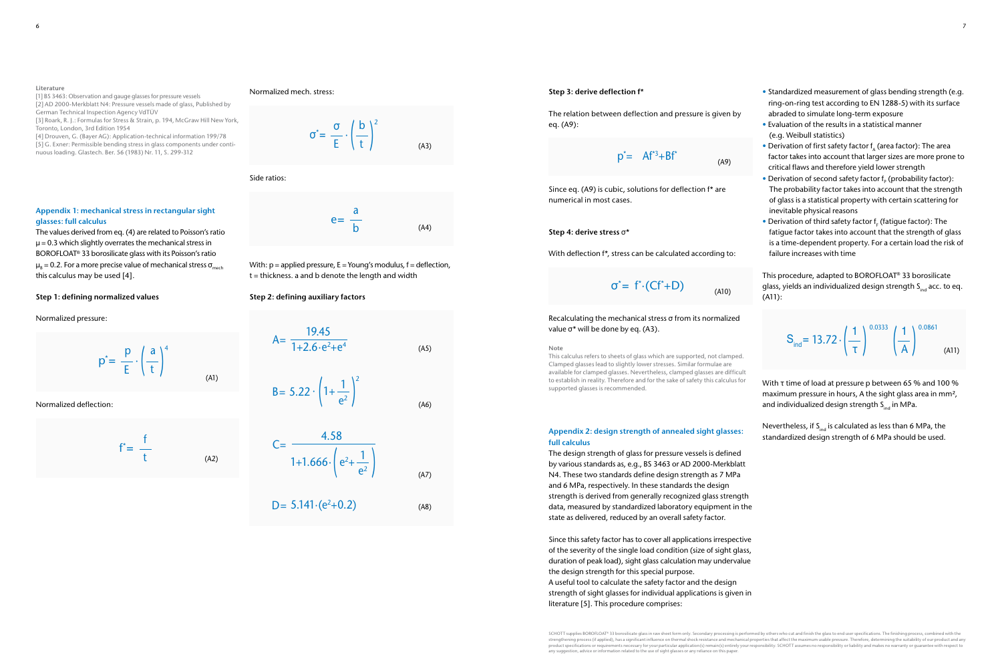#### **Step 3: derive deflection f\***

The relation between deflection and pressure is given by eq. (A9):

Since eq. (A9) is cubic, solutions for deflection f\* are numerical in most cases.

#### **Step 4: derive stress** σ**\***

With deflection f\*, stress can be calculated according to:

Recalculating the mechanical stress σ from its normalized value σ\* will be done by eq. (A3).

**Note**

This calculus refers to sheets of glass which are supported, not clamped. Clamped glasses lead to slightly lower stresses. Similar formulae are available for clamped glasses. Nevertheless, clamped glasses are difficult to establish in reality. Therefore and for the sake of safety this calculus for supported glasses is recommended.

#### **Appendix 2: design strength of annealed sight glasses: full calculus**

The design strength of glass for pressure vessels is defined by various standards as, e.g., BS 3463 or AD 2000-Merkblatt N4. These two standards define design strength as 7 MPa and 6 MPa, respectively. In these standards the design strength is derived from generally recognized glass strength data, measured by standardized laboratory equipment in the state as delivered, reduced by an overall safety factor.

With τ time of load at pressure p between 65 % and 100 % maximum pressure in hours, A the sight glass area in mm<sup>2</sup>, and individualized design strength  $S<sub>ind</sub>$  in MPa.

Since this safety factor has to cover all applications irrespective of the severity of the single load condition (size of sight glass, duration of peak load), sight glass calculation may undervalue the design strength for this special purpose. A useful tool to calculate the safety factor and the design strength of sight glasses for individual applications is given in literature [5]. This procedure comprises:

Nevertheless, if  $S<sub>ind</sub>$  is calculated as less than 6 MPa, the standardized design strength of 6 MPa should be used.

With:  $p =$  applied pressure,  $E =$  Young's modulus,  $f =$  deflection, t = thickness. a and b denote the length and width

- Standardized measurement of glass bending strength (e.g. ring-on-ring test according to EN 1288-5) with its surface abraded to simulate long-term exposure
- Evaluation of the results in a statistical manner (e.g. Weibull statistics)
- Derivation of first safety factor  $f_A$  (area factor): The area factor takes into account that larger sizes are more prone to critical flaws and therefore yield lower strength
- Derivation of second safety factor  $f_p$  (probability factor): The probability factor takes into account that the strength of glass is a statistical property with certain scattering for inevitable physical reasons
- Derivation of third safety factor  $f_F$  (fatigue factor): The fatigue factor takes into account that the strength of glass is a time-dependent property. For a certain load the risk of failure increases with time

This procedure, adapted to BOROFLOAT® 33 borosilicate glass, yields an individualized design strength  $S<sub>ind</sub>$  acc. to eq. (A11):

SCHOTT supplies BOROFLOAT® 33 borosilicate glass in raw sheet form only. Secondary processing is performed by others who cut and finish the glass to end user specifications. The finishing process, combined with the<br>streng product specifications or requirements necessary for your particular application(s) remain(s) entirely your responsibility. SCHOTT assumes no responsibility or liability and makes no warranty or guarantee with respect to any suggestion, advice or information related to the use of sight glasses or any reliance on this paper.

#### **Literature**

[1] BS 3463: Observation and gauge glasses for pressure vessels [2] AD 2000-Merkblatt N4: Pressure vessels made of glass, Published by German Technical Inspection Agency VdTÜV

[3] Roark, R. J.: Formulas for Stress & Strain, p. 194, McGraw Hill New York, Toronto, London, 3rd Edition 1954

[4] Drouven, G. (Bayer AG): Application-technical information 199/78 [5] G. Exner: Permissible bending stress in glass components under continuous loading. Glastech. Ber. 56 (1983) Nr. 11, S. 299-312

## **Appendix 1: mechanical stress in rectangular sight glasses: full calculus**

The values derived from eq. (4) are related to Poisson's ratio  $u = 0.3$  which slightly overrates the mechanical stress in BOROFLOAT® 33 borosilicate glass with its Poisson's ratio  $\mu_{_{\rm B}}$  = 0.2. For a more precise value of mechanical stress  $\sigma_{_{\rm mech}}$ this calculus may be used [4].

## **Step 1: defining normalized values**

#### Normalized pressure:

Normalized deflection:

#### Normalized mech. stress:

Side ratios:

# **Step 2: defining auxiliary factors**

$$
p^* = \frac{p}{E} \cdot \left(\frac{a}{t}\right)^4 \tag{A1}
$$

$$
f^* = \frac{f}{t}
$$
 (A2)



| a<br>$e=$    |      |
|--------------|------|
| $\mathsf{b}$ | (A4) |

(A6)

(A8)

$$
A = \frac{19.45}{1 + 2.6 \cdot e^2 + e^4}
$$
 (A5)

$$
C = \frac{4.58}{1 + 1.666 \cdot \left(e^{2} + \frac{1}{e^{2}}\right)}
$$
 (A7)

 $D = 5.141 \cdot (e^2 + 0.2)$ 

B= 
$$
5.22 \cdot \left(1 + \frac{1}{e^2}\right)^2
$$

$$
p^* = Af^{*3} + Bf^*
$$
 (A9)

$$
\sigma^* = f^* (Cf^* + D) \tag{A10}
$$

$$
S_{ind} = 13.72 \cdot \left(\frac{1}{\tau}\right)^{0.0333} \left(\frac{1}{A}\right)^{0.0861}
$$
 (A11)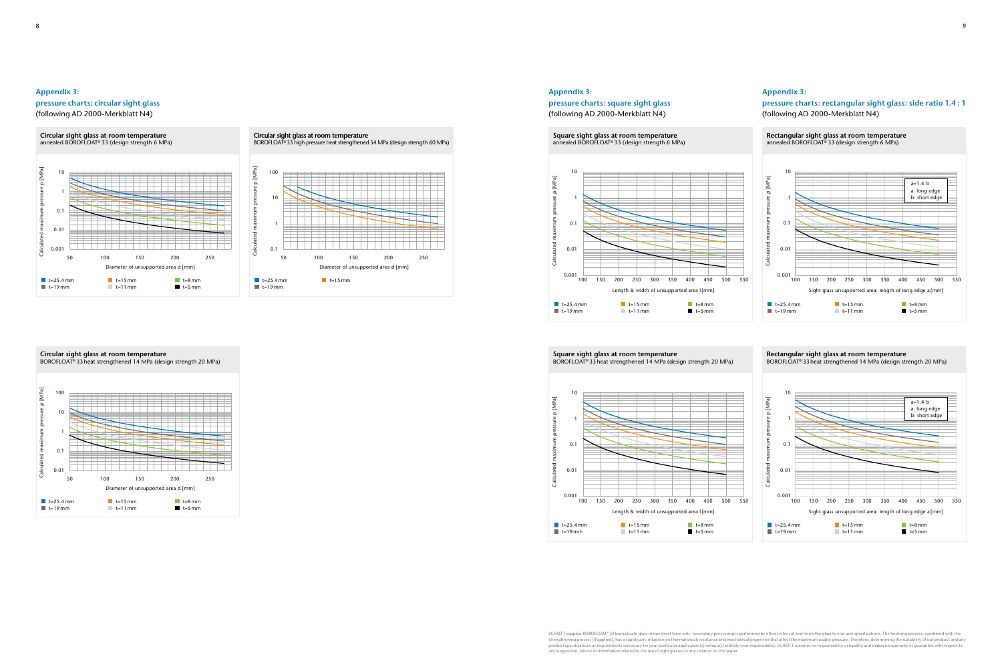







## [MPa] Calculated maximum pressure p [MPa]  $10<sub>0</sub>$  $\Omega$ 10 1 0.1 0.01 50 100 150 200 250 Diameter of unsupported area d [mm]  $t=15$  mm  $t=8$  mm t=19 mm t=25.4 mm  $t=11$  mm  $t=5$  mm

# **Appendix 3: pressure charts: circular sight glass** (following AD 2000-Merkblatt N4)

#### **Appendix 3:**

**pressure charts: square sight glass**  (following AD 2000-Merkblatt N4)

#### **Appendix 3:**

# **pressure charts: rectangular sight glass: side ratio 1.4 : 1**  (following AD 2000-Merkblatt N4)

**Square sight glass at room temperature** annealed BOROFLOAT® 33 (design strength 6 MPa)



#### **Circular sight glass at room temperature**  BOROFLOAT® 33 heat strengthened 14 MPa (design strength 20 MPa)

8 a viz Gregorian de la construction de la construction de la construction de la construction de la construction de la construction de la construction de la construction de la construction de la construction de la construc

SCHOTT supplies BOROFLOAT® 33 borosilicate glass in raw sheet form only. Secondary processing is performed by others who cut and finish the glass to end user specifications. The finishing process, combined with the<br>streng product specifications or requirements necessary for your particular application(s) remain(s) entirely your responsibility. SCHOTT assumes no responsibility or liability and makes no warranty or guarantee with respect to<br>a



**Rectangular sight glass at room temperature** BOROFLOAT® 33 heat strengthened 14 MPa (design strength 20 MPa)

**Square sight glass at room temperature** BOROFLOAT® 33 heat strengthened 14 MPa (design strength 20 MPa)